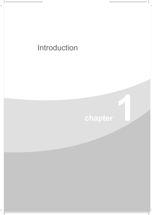# **Introduction**

# chapter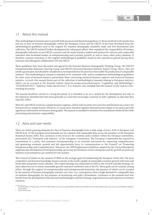# 1.1 About this manual

This methodological manual aims to provide both practical and theoretical guidance to those involved in the production and use of data on business demography within the European Union and the OECD. It has been developed from the methodological guidelines used in the original EU business demography feasibility study and first harmonised data collection. The OECD initiated further development by subsequent efforts<sup>1</sup> that considered the comparability of business demography indicators across OECD countries and the needs of policy makers and analysts for relevant and comparable indicators that facilitated studies of entrepreneurship and economic growth, as well as many other policy domains. It therefore contains extensions to the original methodological guidelines based on the experiences gained during those exercises and subsequent collaboration with the OECD.

These guidelines have been discussed and agreed by the Eurostat Business Demography Working Group, the OECD's Entrepreneurship Indicators Steering Group and OECD's Structural Business Statistics Expert Group. Hence, they are jointly agreed upon and should be considered as recommendations for practices that enable the production of comparable statistics. This methodological manual is intended to be consistent with, and to complement methodological guidelines for other areas of business statistics, particularly those concerning statistical business registers and structural business statistics. As such, this manual forms part of the collection of methodological manuals relating to European statistics, which can be accessed at the Eurostat website (http://ec.europa.eu/eurostat/ramon, "Legislation and Methodology", "STATMANUALS", "Industry, Trade and Services"). It is, however, also intended that this manual can be read as a freestanding document.

The manual should be viewed as a living document. It is intended to act as a catalyst for the development not only of the indicators identified here but more generally as a tool that encourages countries to fully capitalise on data that they typically collect.

Most EU and OECD countries compile business registers, which until recently were seen first and foremost as a source for business survey sample frames. However, in recent years, business registers themselves have begun to be used to provide significant information on business demography. The manual is intended to maintain this momentum whilst all the while prioritising international comparability.

# 1.2 Aims and user needs

There are clearly growing demands for data on business demography from a wide range of users, both at European and OECD level. At the European level demands are for coherent and comparable data across the members of the European Statistical System (ESS). Key customers at this level are the economic policy makers within the European institutions, particularly DG "Enterprise and Industry" of the European Commission. The European Commission has assured its commitment to a policy that promotes entrepreneurship as an essential instrument for improving competitiveness and generating economic growth and job opportunities since its communication to the Council<sup>2</sup> on 'Promoting Entrepreneurship and Competitiveness'. Moreover, the 1999 Employment Guidelines adopted by the Council Resolution emphasise the development of entrepreneurship, given that the formation of new enterprises and the growth of small and medium-sized enterprises are essential for job creation.

The Council of Lisbon in the summer of 2000 set the strategic goal of transforming the European Union into 'the most competitive and dynamic knowledge-based economy in the world, capable of sustainable economic growth with more and better jobs and greater social cohesion'. The Lisbon Strategy was relaunched in 2005 as the Growth and Jobs Strategy. Its main objectives are to ensure sustainable growth, and more and better jobs in the EU. These goals can be reached, among others, through the support of entrepreneurship and entrepreneurial dynamism, the presence of which can be revealed by the analysis of business demography statistics over time. As a consequence, there is high demand for comparable data on business demography for the purposes of monitoring and policy formulation. Customers at the national level also benefit from the development of harmonised methodologies and the exchange of good practices and experiences between countries.

See OECD Statistics Working Papers STD/DOC(2006)/3 http://www.olis.oecd.org/olis/2006doc.nsf/linkTo/std-doc(2006)3 and STD/DOC(2006)/4 http://www.olis.oecd.org/olis/2006doc.nsf/linkTo/ std-doc(2006)4.

COM (1998)550 final.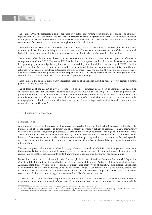

The original EU methodological guidelines are based on regulations governing structural business statistics and business registers at the EU level and provide the basis for comparable business demography data for current and future European Union (EU) and European Free Trade Association (EFTA) Member States. In particular they aim to satisfy the expected requirements for Structural Indicators<sup>3</sup> regarding births, deaths and survival.

These indicators are based on all enterprises, those with employees and the self-employed. However, OECD studies have demonstrated that the comparability of indicators based on all enterprises in countries outside of the EU is limited. Indeed, in practice the thresholds for the inclusion of very small units also vary between EU Member States.

These same studies demonstrated however, a high comparability of indicators based on the population of employer enterprises. As such the OECD, Eurostat and EU Member States have agreed that the collection of data on enterprises that have paid employment can significantly improve the comparability of birth and death rates among all OECD countries, and certainly for EU countries, and so are included in this manual. Better international comparability is not the only rationale for focussing on employer enterprises however, as there is recognition that this population of enterprises is distinctly different from the population of non-employer businesses to justify their inclusion on these grounds alone; certainly this is the view of the OECD's Entrepreneurship Indicators Project.

That being said the business demography indicators based on all enterprises including non-employers remain a central plank of EU business statistics.

The philosophy of the project to develop statistics on business demography has been to minimise the burden on enterprises and National Statistical Institutes and to use automation and existing tools as much as possible. The guidelines contained in this manual have been based on a pragmatic approach. This means that it should be possible to implement them in different countries with relatively little effort. With this aim in mind, the main source for demographic data should be the statistical business register. The advantages and constraints of this data source are explored further in Chapter 2.

# 1.3 Units and coverage

#### *Statistical units*

A fundamental requirement in measuring business entries (creation) and exits (destruction) concerns the definition of a business itself. The notion varies considerably. Statistical offices will typically define businesses according to their activity within national boundaries, although businesses are also, and increasingly so, measured in a global, multinational sense. That is not to say however that the definitions used by national statistical offices are consistent across countries<sup>4</sup>. Many businesses (parents) own or control other businesses (subsidiaries) operating within the same economy. Depending on the degree of control and the nature of economic activity, some statistical offices will consolidate parents with subsidiaries, others will not.

The rules that govern what statistical offices do largely reflect institutional and administrative arrangements that exist in their country. Not surprisingly these differ across countries and so too, therefore, do the definitions used for businesses. It is important to put these differences into context however and to explain why they have arisen and continue.

International definitions of businesses do exist. For example the System of National Accounts, Eurostat (EC Regulation 696/93) and the International Standard Industrial Classification of all Economic Activities (ISIC) all provide definitions. Although these three systems do not entirely converge, three main types of statistical unit emerge: Enterprises, Establishments (or local kind of activity unit) and Enterprise Groups. Legal units are usually the building blocks used in defining businesses in all of these measures but legal units are not themselves comparable across countries since they reflect national administrative and legal requirements that will differ across countries.

All EU and OECD countries are able to produce structural business statistics on these bases (albeit with some differences in practice), often to meet the needs of international organisations, like the OECD, and often for their own needs for

The indicators provide an instrument for monitoring and benchmarking which are vital elements of the Lisbon follow-up strategy.

Work by Eurostat (Herczog, Aimée, Hans van Hooff and Ad Willeboordse (1998), "The Impact of Diverging Interpretations of the Enterprise Concept".) for example, demonstrated that the operational<br>definitions used for enterpr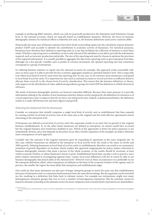example in producing R&D statistics, which can only be practically produced at the Enterprise (and Enterprise Group) level, or the national accounts, which are typically based on establishment measures. However, the focus on business demography statistics by statistical offices is relatively new and, so, the business definitions used across countries differ.

Historically the main uses of business statistics have been firstly in providing inputs into the calculation of gross domestic product (GDP) and secondly to identify the contribution to economic activity of businesses. For statistical purposes, businesses have therefore been defined as reporting units in a way that facilitates the collection of statistics to meet these needs. Whether a reporting unit is a subsidiary or not is only relevant if the subsidiary is not able to provide the information required, such as turnover, production and profits. The size of the reporting unit must be chosen to optimise the provision of the required information. It is usually possible to aggregate the data from reporting units to give enterprise level data, although, for a few specific variables such as profits or overseas investment, the optimal reporting unit may sometimes correspond to a group of enterprises.

In collating business statistics as inputs into the national accounts for example, this approach works reasonably well, since in most cases it is able to provide the key economic aggregates needed at a detailed industry level. This is especially true where local kind of activity units form the reporting unit. In any case, in all countries most enterprises correspond to local kind of activity units. It is important for uses such as national accounts to record activities in sufficient detail to allocate them correctly to the chosen level of activity classification. This means that the business definition, in theory, only impacts on the distribution of value-added among industry groups; for total GDP the definition is of little theoretical relevance.

The needs of business demography statistics are however somewhat different. Because their main purpose is to provide information relating to the number of new businesses (entries), failures (exits) and growth, the definition of a business is of crucial importance since it impacts directly on entry, exit and growth rates. Indeed, as demonstrated below, the definition results in a trade-off between exit and entry figures and growth.

#### *Selecting the Statistical Unit for Businesses*

Consider an enterprise that initially comprises a single local kind of activity unit or establishment that then expands by creating another local kind of activity unit of the same size as the original unit but with effective operational control remaining at the enterprise level.

If businesses are defined as local kind of activity units this expansion results in an entry but no growth in the original business (establishment). If, on the other hand, businesses are defined as enterprises, no entries would have occurred but the original business unit would have doubled in size. Which of the approaches is better for policy purposes is not immediately obvious, since that depends on the policy focus. But a further expansion of the example can help to illustrate some consequences of each approach.

Consider now the outcome if the original enterprise grew by expanding its operations at the same (original) site. In this case, whether businesses are defined at the enterprise or local activity level, the result is the same; no births and 100% growth. Defining businesses as local kind of activity units or establishments therefore can result in an asymmetric treatment of growth dependent on location; which renders this approach inappropriate for policy makers interested in business demography statistics that paint a picture of the whole economy, as the results should be invariant, at least within economic borders, to where businesses choose to grow. Establishment based data can play a role in practice, since policy makers interested in investigating regional (state, county, local area) differences will not of course be able to use business demography data based solely at the national level.5 However even in these circumstances it is preferable to use the enterprise definition, albeit, where enterprises are defined on the basis of the economic borders of the regions; and, in practice, the smaller the region the more likely that enterprises and establishments align.

One could say that many enterprises are also part of larger enterprise groups in much the same way that establishments form part of enterprises and, so, enterprise based measures have the same shortcomings. But the argument can be stretched too far, resulting in a definition that links back to ultimate owners. For example one entrepreneur might own many heterogeneous enterprise groups that own in turn a number of heterogeneous enterprises. But the rationale cannot be based on ultimate ownership as the ultimate owners for most companies and certainly listed corporations are shareholders.

In its current guise the manual's primary concern is of course comparability at the national level. It is hoped that future versions will provide concepts and guidelines for local business demography statistics.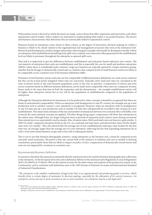

What matters most is the level at which decisions are made, such as those that affect expansion and innovation, and where operational control resides. Policy makers are interested in understanding what makes a successful business. The factors and business characteristics that determine this are inextricably linked to operational control.

Measures based on enterprises come closest to these criteria, as the degree of innovation, decision making etc within a business is likely to be closely related to the organisational and management structures that exist at the enterprise level. Research and development, product design and product advertising for example will usually be developed centrally within an enterprise with establishments benefiting from spill-overs; indeed, even innovative ideas generated at the establishment level are likely to permeate throughout the enterprise as upward spill-overs.

That said it is important to put the differences between establishment and enterprise based indicators into context. The vast majority of enterprises have only one establishment; and this is especially the case for small and medium enterprises (SMEs), where there is considerable policy interest. Large new business are typically opened by a larger enterprise group, whether that be foreign or domestically owned and, so, statistics that compare levels of small business entries are likely to be comparable across countries even if the business definitions differ.

Estimates of total business entries and exits are less comparable if different business definitions are used across countries but this can be at least partly mitigated where rates are concerned. Typically, entry (and exit) rates are calculated as the ratio of entries (exits) to the total business population active in the year in question. Comparisons of entries and exits across countries based on different business definitions can be made more comparable when rates are compared, because biases work in the same direction in both the numerator and the denominator – for example establishment entries will be higher than enterprise entries but so too will be the population of establishments compared to the population of enterprises.

Although the Enterprise definition for businesses is to be preferred to other concepts it should be recognised that there are limits to international comparability. When an enterprise with headquarters in one EU country for example sets up a new production unit in another country a new enterprise is recognised. However, when an enterprise with its headquarters in one US state sets up a new production unit in another US state this will generally be recorded as the creation of a new establishment. This means that estimates of the size and number of enterprises between two economic blocs will differ, even if exactly the same national concepts are applied. All other things being equal, comparisons will show that enterprises in the nation state, although fewer, are larger and grow more in periods of expansion (and contract more during recessions) than enterprises in an equivalently sized economic-bloc of nation states. Birth and death rates are however quite similar. A 2003 US study<sup>6</sup> compared enterprise births in the US, on a national and state basis, and showed that churn (birth+death) rates were very similar<sup>7</sup>. They also showed that the average size of new establishments entering a state market for the first time was, on average, larger than the average size of a new enterprise, reflecting the fact that expanding enterprises do so with a tried and trusted business recipe and so less risk of subsequent failure.

This is not to say that business demography statistics, using enterprises as the business unit, cannot be compared across unevenly sized economies. The point is that one cannot look at the statistics in isolation and care is needed in drawing conclusions, particularly those that are likely to impact on policy. In fact, comparisons of domestically owned entries and exits are not impaired by variations in economic size.

#### *Recommended Business Definition*

In summary therefore this manual recommends that the statistical unit to be used for business demography data collections is the enterprise. At the European level, this unit is defined as follows in the statistical units Regulation (Council Regulation (EEC) No 696/93 of 15 March 1993 on the statistical units for the observation and analysis of the production system in the Community), and is consistent with definitions uses in the 1993 System of National Accounts and International Standard of Industrial Classifications:

"The enterprise is the smallest combination of legal units that is an organisational unit producing goods or services, which benefits from a certain degree of autonomy in decision-making, especially for the allocation of its current resources. An enterprise carries out one or more activities at one or more locations. An enterprise may be a sole legal unit."

Jarmin Ron, Javier Miranda and Kristin Sandusky (2003), "Alternative Measures of Business Entry and Exit", paper presented at the OECD Workshop on Improving statistics on SMEs and Entrepreneurship, 2003: COM/STD/NAES/DSTI/EAS(2003)12.

Although a comparison of turnover rates of establishments versus enterprises revealed that turnover rates in establishments were approximately 11% lower than enterprise turnover rates.